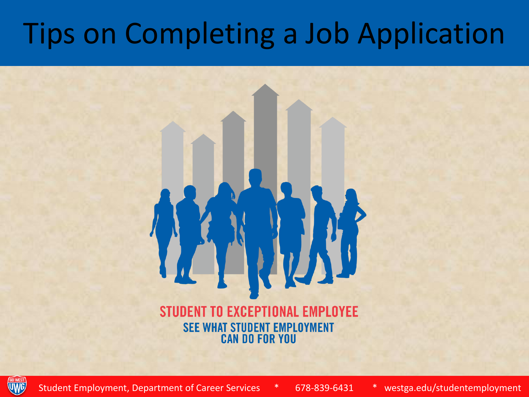## Tips on Completing a Job Application

#### **STUDENT TO EXCEPTIONAL EMPLOYEE SEE WHAT STUDENT EMPLOYMENT CAN DO FOR YOU**



Student Employment, Department of Career Services \* 678-839-6431 \* westga.edu/studentemployment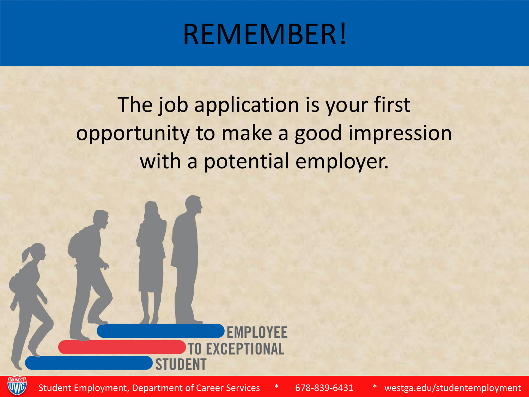#### REMEMBER!

The job application is your first opportunity to make a good impression with a potential employer.



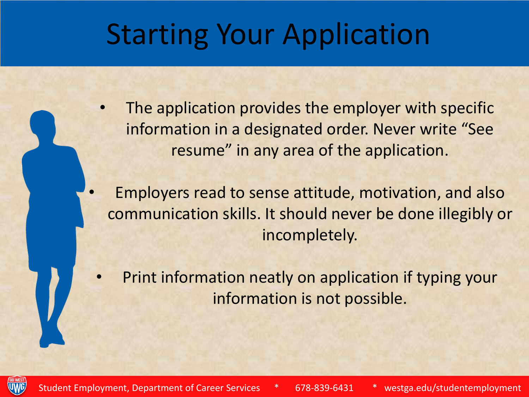#### Starting Your Application

The application provides the employer with specific information in a designated order. Never write "See resume" in any area of the application.

• Employers read to sense attitude, motivation, and also communication skills. It should never be done illegibly or incompletely.

• Print information neatly on application if typing your information is not possible.

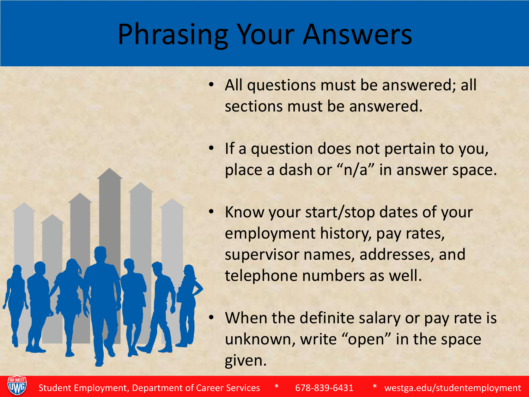## Phrasing Your Answers

- All questions must be answered; all sections must be answered.
- If a question does not pertain to you, place a dash or "n/a" in answer space.
- Know your start/stop dates of your employment history, pay rates, supervisor names, addresses, and telephone numbers as well.
- When the definite salary or pay rate is unknown, write "open" in the space given.

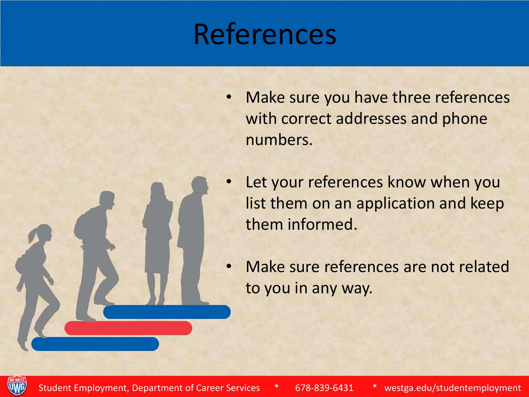## References

- Make sure you have three references with correct addresses and phone numbers.
- Let your references know when you list them on an application and keep them informed.
- Make sure references are not related to you in any way.

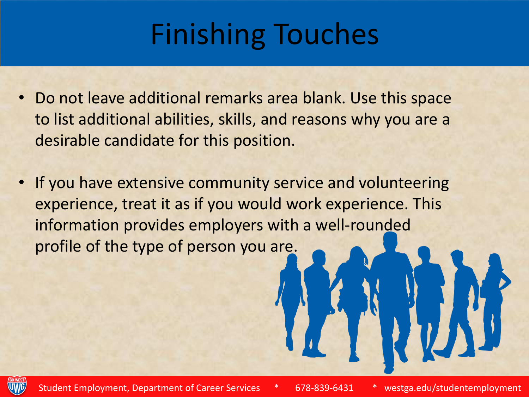# Finishing Touches

- Do not leave additional remarks area blank. Use this space to list additional abilities, skills, and reasons why you are a desirable candidate for this position.
- If you have extensive community service and volunteering experience, treat it as if you would work experience. This information provides employers with a well-rounded profile of the type of person you are.